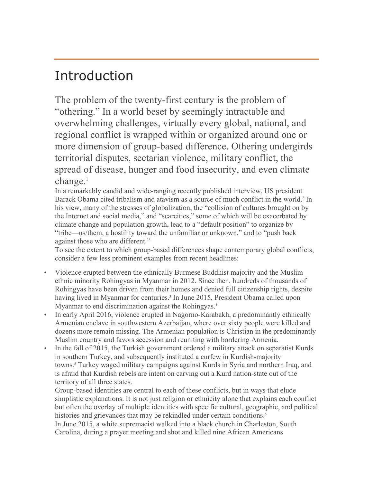# Introduction

The problem of the twenty-first century is the problem of "othering." In a world beset by seemingly intractable and overwhelming challenges, virtually every global, national, and regional conflict is wrapped within or organized around one or more dimension of group-based difference. Othering undergirds territorial disputes, sectarian violence, military conflict, the spread of disease, hunger and food insecurity, and even climate  $change<sup>1</sup>$ 

In a remarkably candid and wide-ranging recently published interview, US president Barack Obama cited tribalism and atavism as a source of much conflict in the world.<sup>2</sup> In his view, many of the stresses of globalization, the "collision of cultures brought on by the Internet and social media," and "scarcities," some of which will be exacerbated by climate change and population growth, lead to a "default position" to organize by "tribe—us/them, a hostility toward the unfamiliar or unknown," and to "push back against those who are different."

To see the extent to which group-based differences shape contemporary global conflicts, consider a few less prominent examples from recent headlines:

- Violence erupted between the ethnically Burmese Buddhist majority and the Muslim ethnic minority Rohingyas in Myanmar in 2012. Since then, hundreds of thousands of Rohingyas have been driven from their homes and denied full citizenship rights, despite having lived in Myanmar for centuries.<sup>3</sup> In June 2015, President Obama called upon Myanmar to end discrimination against the Rohingyas.<sup>4</sup>
- In early April 2016, violence erupted in Nagorno-Karabakh, a predominantly ethnically Armenian enclave in southwestern Azerbaijan, where over sixty people were killed and dozens more remain missing. The Armenian population is Christian in the predominantly Muslim country and favors secession and reuniting with bordering Armenia.
- In the fall of 2015, the Turkish government ordered a military attack on separatist Kurds in southern Turkey, and subsequently instituted a curfew in Kurdish-majority towns.5 Turkey waged military campaigns against Kurds in Syria and northern Iraq, and is afraid that Kurdish rebels are intent on carving out a Kurd nation-state out of the territory of all three states.

Group-based identities are central to each of these conflicts, but in ways that elude simplistic explanations. It is not just religion or ethnicity alone that explains each conflict but often the overlay of multiple identities with specific cultural, geographic, and political histories and grievances that may be rekindled under certain conditions.<sup>6</sup>

In June 2015, a white supremacist walked into a black church in Charleston, South Carolina, during a prayer meeting and shot and killed nine African Americans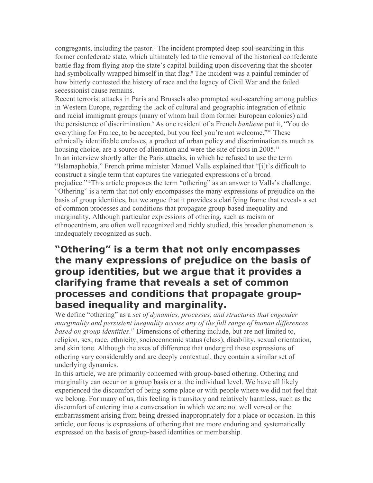congregants, including the pastor.<sup>7</sup> The incident prompted deep soul-searching in this former confederate state, which ultimately led to the removal of the historical confederate battle flag from flying atop the state's capital building upon discovering that the shooter had symbolically wrapped himself in that flag.<sup>8</sup> The incident was a painful reminder of how bitterly contested the history of race and the legacy of Civil War and the failed secessionist cause remains.

Recent terrorist attacks in Paris and Brussels also prompted soul-searching among publics in Western Europe, regarding the lack of cultural and geographic integration of ethnic and racial immigrant groups (many of whom hail from former European colonies) and the persistence of discrimination.9 As one resident of a French *banlieue* put it, "You do everything for France, to be accepted, but you feel you're not welcome."10 These ethnically identifiable enclaves, a product of urban policy and discrimination as much as housing choice, are a source of alienation and were the site of riots in 2005.<sup>11</sup> In an interview shortly after the Paris attacks, in which he refused to use the term "Islamaphobia," French prime minister Manuel Valls explained that "[i]t's difficult to construct a single term that captures the variegated expressions of a broad prejudice."12This article proposes the term "othering" as an answer to Valls's challenge. "Othering" is a term that not only encompasses the many expressions of prejudice on the basis of group identities, but we argue that it provides a clarifying frame that reveals a set of common processes and conditions that propagate group-based inequality and marginality. Although particular expressions of othering, such as racism or ethnocentrism, are often well recognized and richly studied, this broader phenomenon is inadequately recognized as such.

### **"Othering" is a term that not only encompasses the many expressions of prejudice on the basis of group identities, but we argue that it provides a clarifying frame that reveals a set of common processes and conditions that propagate groupbased inequality and marginality.**

We define "othering" as a *set of dynamics, processes, and structures that engender marginality and persistent inequality across any of the full range of human differences based on group identities*. <sup>13</sup> Dimensions of othering include, but are not limited to, religion, sex, race, ethnicity, socioeconomic status (class), disability, sexual orientation, and skin tone. Although the axes of difference that undergird these expressions of othering vary considerably and are deeply contextual, they contain a similar set of underlying dynamics.

In this article, we are primarily concerned with group-based othering. Othering and marginality can occur on a group basis or at the individual level. We have all likely experienced the discomfort of being some place or with people where we did not feel that we belong. For many of us, this feeling is transitory and relatively harmless, such as the discomfort of entering into a conversation in which we are not well versed or the embarrassment arising from being dressed inappropriately for a place or occasion. In this article, our focus is expressions of othering that are more enduring and systematically expressed on the basis of group-based identities or membership.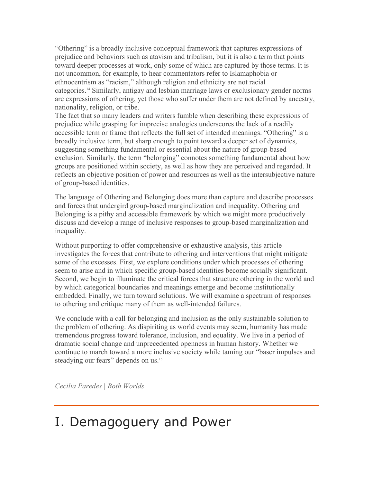"Othering" is a broadly inclusive conceptual framework that captures expressions of prejudice and behaviors such as atavism and tribalism, but it is also a term that points toward deeper processes at work, only some of which are captured by those terms. It is not uncommon, for example, to hear commentators refer to Islamaphobia or ethnocentrism as "racism," although religion and ethnicity are not racial categories.14 Similarly, antigay and lesbian marriage laws or exclusionary gender norms are expressions of othering, yet those who suffer under them are not defined by ancestry, nationality, religion, or tribe.

The fact that so many leaders and writers fumble when describing these expressions of prejudice while grasping for imprecise analogies underscores the lack of a readily accessible term or frame that reflects the full set of intended meanings. "Othering" is a broadly inclusive term, but sharp enough to point toward a deeper set of dynamics, suggesting something fundamental or essential about the nature of group-based exclusion. Similarly, the term "belonging" connotes something fundamental about how groups are positioned within society, as well as how they are perceived and regarded. It reflects an objective position of power and resources as well as the intersubjective nature of group-based identities.

The language of Othering and Belonging does more than capture and describe processes and forces that undergird group-based marginalization and inequality. Othering and Belonging is a pithy and accessible framework by which we might more productively discuss and develop a range of inclusive responses to group-based marginalization and inequality.

Without purporting to offer comprehensive or exhaustive analysis, this article investigates the forces that contribute to othering and interventions that might mitigate some of the excesses. First, we explore conditions under which processes of othering seem to arise and in which specific group-based identities become socially significant. Second, we begin to illuminate the critical forces that structure othering in the world and by which categorical boundaries and meanings emerge and become institutionally embedded. Finally, we turn toward solutions. We will examine a spectrum of responses to othering and critique many of them as well-intended failures.

We conclude with a call for belonging and inclusion as the only sustainable solution to the problem of othering. As dispiriting as world events may seem, humanity has made tremendous progress toward tolerance, inclusion, and equality. We live in a period of dramatic social change and unprecedented openness in human history. Whether we continue to march toward a more inclusive society while taming our "baser impulses and steadying our fears" depends on us.<sup>15</sup>

*Cecilia Paredes | Both Worlds*

# I. Demagoguery and Power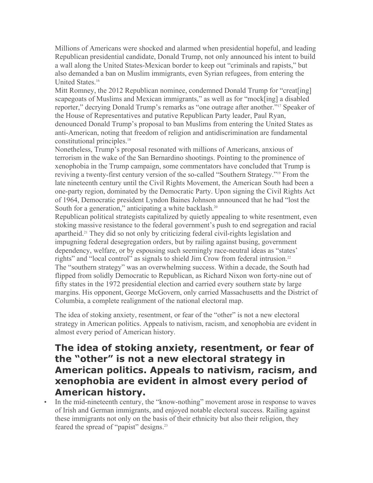Millions of Americans were shocked and alarmed when presidential hopeful, and leading Republican presidential candidate, Donald Trump, not only announced his intent to build a wall along the United States-Mexican border to keep out "criminals and rapists," but also demanded a ban on Muslim immigrants, even Syrian refugees, from entering the United States.16

Mitt Romney, the 2012 Republican nominee, condemned Donald Trump for "creat[ing] scapegoats of Muslims and Mexican immigrants," as well as for "mock[ing] a disabled reporter," decrying Donald Trump's remarks as "one outrage after another."17 Speaker of the House of Representatives and putative Republican Party leader, Paul Ryan, denounced Donald Trump's proposal to ban Muslims from entering the United States as anti-American, noting that freedom of religion and antidiscrimination are fundamental constitutional principles.<sup>18</sup>

Nonetheless, Trump's proposal resonated with millions of Americans, anxious of terrorism in the wake of the San Bernardino shootings. Pointing to the prominence of xenophobia in the Trump campaign, some commentators have concluded that Trump is reviving a twenty-first century version of the so-called "Southern Strategy."19 From the late nineteenth century until the Civil Rights Movement, the American South had been a one-party region, dominated by the Democratic Party. Upon signing the Civil Rights Act of 1964, Democratic president Lyndon Baines Johnson announced that he had "lost the South for a generation," anticipating a white backlash.<sup>20</sup>

Republican political strategists capitalized by quietly appealing to white resentment, even stoking massive resistance to the federal government's push to end segregation and racial apartheid.21 They did so not only by criticizing federal civil-rights legislation and impugning federal desegregation orders, but by railing against busing, government dependency, welfare, or by espousing such seemingly race-neutral ideas as "states' rights" and "local control" as signals to shield Jim Crow from federal intrusion.<sup>22</sup> The "southern strategy" was an overwhelming success. Within a decade, the South had flipped from solidly Democratic to Republican, as Richard Nixon won forty-nine out of fifty states in the 1972 presidential election and carried every southern state by large margins. His opponent, George McGovern, only carried Massachusetts and the District of Columbia, a complete realignment of the national electoral map.

The idea of stoking anxiety, resentment, or fear of the "other" is not a new electoral strategy in American politics. Appeals to nativism, racism, and xenophobia are evident in almost every period of American history.

### **The idea of stoking anxiety, resentment, or fear of the "other" is not a new electoral strategy in American politics. Appeals to nativism, racism, and xenophobia are evident in almost every period of American history.**

• In the mid-nineteenth century, the "know-nothing" movement arose in response to waves of Irish and German immigrants, and enjoyed notable electoral success. Railing against these immigrants not only on the basis of their ethnicity but also their religion, they feared the spread of "papist" designs.23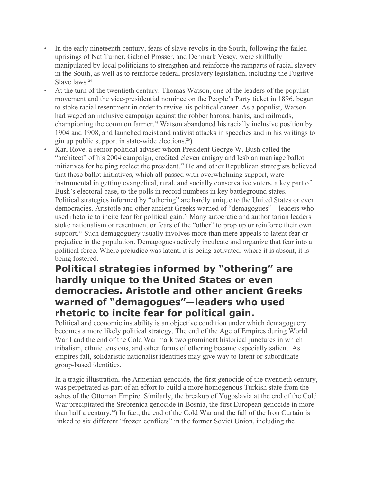- In the early nineteenth century, fears of slave revolts in the South, following the failed uprisings of Nat Turner, Gabriel Prosser, and Denmark Vesey, were skillfully manipulated by local politicians to strengthen and reinforce the ramparts of racial slavery in the South, as well as to reinforce federal proslavery legislation, including the Fugitive Slave laws.<sup>24</sup>
- At the turn of the twentieth century, Thomas Watson, one of the leaders of the populist movement and the vice-presidential nominee on the People's Party ticket in 1896, began to stoke racial resentment in order to revive his political career. As a populist, Watson had waged an inclusive campaign against the robber barons, banks, and railroads, championing the common farmer.25 Watson abandoned his racially inclusive position by 1904 and 1908, and launched racist and nativist attacks in speeches and in his writings to gin up public support in state-wide elections.26)
- Karl Rove, a senior political adviser whom President George W. Bush called the "architect" of his 2004 campaign, credited eleven antigay and lesbian marriage ballot initiatives for helping reelect the president.<sup>27</sup> He and other Republican strategists believed that these ballot initiatives, which all passed with overwhelming support, were instrumental in getting evangelical, rural, and socially conservative voters, a key part of Bush's electoral base, to the polls in record numbers in key battleground states. Political strategies informed by "othering" are hardly unique to the United States or even democracies. Aristotle and other ancient Greeks warned of "demagogues"—leaders who used rhetoric to incite fear for political gain.<sup>28</sup> Many autocratic and authoritarian leaders stoke nationalism or resentment or fears of the "other" to prop up or reinforce their own support.<sup>29</sup> Such demagoguery usually involves more than mere appeals to latent fear or prejudice in the population. Demagogues actively inculcate and organize that fear into a political force. Where prejudice was latent, it is being activated; where it is absent, it is being fostered.

### **Political strategies informed by "othering" are hardly unique to the United States or even democracies. Aristotle and other ancient Greeks warned of "demagogues"—leaders who used rhetoric to incite fear for political gain.**

Political and economic instability is an objective condition under which demagoguery becomes a more likely political strategy. The end of the Age of Empires during World War I and the end of the Cold War mark two prominent historical junctures in which tribalism, ethnic tensions, and other forms of othering became especially salient. As empires fall, solidaristic nationalist identities may give way to latent or subordinate group-based identities.

In a tragic illustration, the Armenian genocide, the first genocide of the twentieth century, was perpetrated as part of an effort to build a more homogenous Turkish state from the ashes of the Ottoman Empire. Similarly, the breakup of Yugoslavia at the end of the Cold War precipitated the Srebrenica genocide in Bosnia, the first European genocide in more than half a century.30) In fact, the end of the Cold War and the fall of the Iron Curtain is linked to six different "frozen conflicts" in the former Soviet Union, including the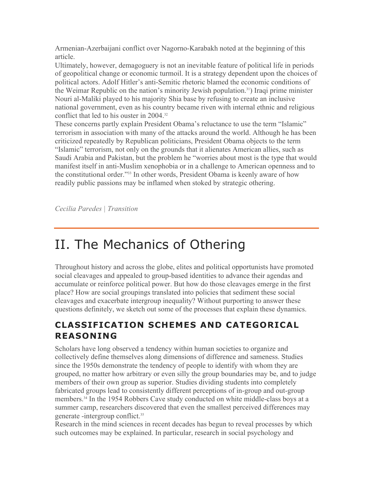Armenian-Azerbaijani conflict over Nagorno-Karabakh noted at the beginning of this article.

Ultimately, however, demagoguery is not an inevitable feature of political life in periods of geopolitical change or economic turmoil. It is a strategy dependent upon the choices of political actors. Adolf Hitler's anti-Semitic rhetoric blamed the economic conditions of the Weimar Republic on the nation's minority Jewish population.31) Iraqi prime minister Nouri al-Maliki played to his majority Shia base by refusing to create an inclusive national government, even as his country became riven with internal ethnic and religious conflict that led to his ouster in 2004.32

These concerns partly explain President Obama's reluctance to use the term "Islamic" terrorism in association with many of the attacks around the world. Although he has been criticized repeatedly by Republican politicians, President Obama objects to the term "Islamic" terrorism, not only on the grounds that it alienates American allies, such as Saudi Arabia and Pakistan, but the problem he "worries about most is the type that would manifest itself in anti-Muslim xenophobia or in a challenge to American openness and to the constitutional order."33 In other words, President Obama is keenly aware of how readily public passions may be inflamed when stoked by strategic othering.

*Cecilia Paredes | Transition*

## II. The Mechanics of Othering

Throughout history and across the globe, elites and political opportunists have promoted social cleavages and appealed to group-based identities to advance their agendas and accumulate or reinforce political power. But how do those cleavages emerge in the first place? How are social groupings translated into policies that sediment these social cleavages and exacerbate intergroup inequality? Without purporting to answer these questions definitely, we sketch out some of the processes that explain these dynamics.

### **CLASSIFICATION SCHEMES AND CATEGORICAL REASONING**

Scholars have long observed a tendency within human societies to organize and collectively define themselves along dimensions of difference and sameness. Studies since the 1950s demonstrate the tendency of people to identify with whom they are grouped, no matter how arbitrary or even silly the group boundaries may be, and to judge members of their own group as superior. Studies dividing students into completely fabricated groups lead to consistently different perceptions of in-group and out-group members.34 In the 1954 Robbers Cave study conducted on white middle-class boys at a summer camp, researchers discovered that even the smallest perceived differences may generate -intergroup conflict.35

Research in the mind sciences in recent decades has begun to reveal processes by which such outcomes may be explained. In particular, research in social psychology and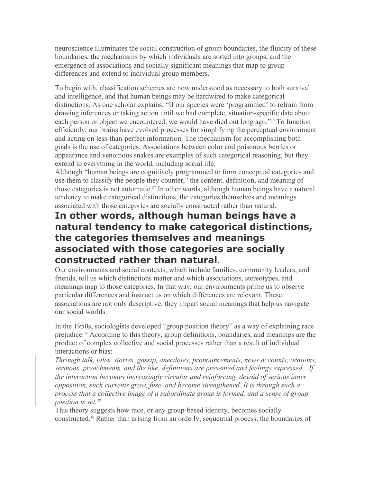neuroscience illuminates the social construction of group boundaries, the fluidity of these boundaries, the mechanisms by which individuals are sorted into groups, and the emergence of associations and socially significant meanings that map to group differences and extend to individual group members.

To begin with, classification schemes are now understood as necessary to both survival and intelligence, and that human beings may be hardwired to make categorical distinctions. As one scholar explains, "If our species were 'programmed' to refrain from drawing inferences or taking action until we had complete, situation-specific data about each person or object we encountered, we would have died out long ago."36 To function efficiently, our brains have evolved processes for simplifying the perceptual environment and acting on less-than-perfect information. The mechanism for accomplishing both goals is the use of categories. Associations between color and poisonous berries or appearance and venomous snakes are examples of such categorical reasoning, but they extend to everything in the world, including social life.

Although "human beings are cognitively programmed to form conceptual categories and use them to classify the people they counter," the content, definition, and meaning of those categories is not automatic.37 In other words, although human beings have a natural tendency to make categorical distinctions, the categories themselves and meanings associated with those categories are socially constructed rather than natural**.**

### **In other words, although human beings have a natural tendency to make categorical distinctions, the categories themselves and meanings associated with those categories are socially constructed rather than natural.**

Our environments and social contexts, which include families, community leaders, and friends, tell us which distinctions matter and which associations, stereotypes, and meanings map to those categories. In that way, our environments prime us to observe particular differences and instruct us on which differences are relevant. These associations are not only descriptive; they impart social meanings that help us navigate our social worlds.

In the 1950s, sociologists developed "group position theory" as a way of explaining race prejudice.38 According to this theory, group definitions, boundaries, and meanings are the product of complex collective and social processes rather than a result of individual interactions or bias:

*Through talk, tales, stories, gossip, anecdotes, pronouncements, news accounts, orations, sermons, preachments, and the like, definitions are presented and feelings expressed…If the interaction becomes increasingly circular and reinforcing, devoid of serious inner opposition, such currents grow, fuse, and become strengthened. It is through such a process that a collective image of a subordinate group is formed, and a sense of group position is set.39*

This theory suggests how race, or any group-based identity, becomes socially constructed.40 Rather than arising from an orderly, sequential process, the boundaries of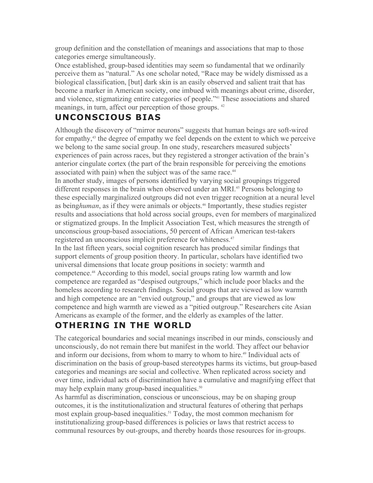group definition and the constellation of meanings and associations that map to those categories emerge simultaneously.

Once established, group-based identities may seem so fundamental that we ordinarily perceive them as "natural." As one scholar noted, "Race may be widely dismissed as a biological classification, [but] dark skin is an easily observed and salient trait that has become a marker in American society, one imbued with meanings about crime, disorder, and violence, stigmatizing entire categories of people."41 These associations and shared meanings, in turn, affect our perception of those groups. <sup>42</sup>

### **UNCONSCIOUS BIAS**

Although the discovery of "mirror neurons" suggests that human beings are soft-wired for empathy,43 the degree of empathy we feel depends on the extent to which we perceive we belong to the same social group. In one study, researchers measured subjects' experiences of pain across races, but they registered a stronger activation of the brain's anterior cingulate cortex (the part of the brain responsible for perceiving the emotions associated with pain) when the subject was of the same race.<sup>44</sup>

In another study, images of persons identified by varying social groupings triggered different responses in the brain when observed under an MRI.<sup>45</sup> Persons belonging to these especially marginalized outgroups did not even trigger recognition at a neural level as being*human*, as if they were animals or objects.46 Importantly, these studies register results and associations that hold across social groups, even for members of marginalized or stigmatized groups. In the Implicit Association Test, which measures the strength of unconscious group-based associations, 50 percent of African American test-takers registered an unconscious implicit preference for whiteness.<sup>47</sup>

In the last fifteen years, social cognition research has produced similar findings that support elements of group position theory. In particular, scholars have identified two universal dimensions that locate group positions in society: warmth and competence.48 According to this model, social groups rating low warmth and low competence are regarded as "despised outgroups," which include poor blacks and the homeless according to research findings. Social groups that are viewed as low warmth and high competence are an "envied outgroup," and groups that are viewed as low competence and high warmth are viewed as a "pitied outgroup." Researchers cite Asian Americans as example of the former, and the elderly as examples of the latter.

### **OTHERING IN THE WORLD**

The categorical boundaries and social meanings inscribed in our minds, consciously and unconsciously, do not remain there but manifest in the world. They affect our behavior and inform our decisions, from whom to marry to whom to hire.<sup>49</sup> Individual acts of discrimination on the basis of group-based stereotypes harms its victims, but group-based categories and meanings are social and collective. When replicated across society and over time, individual acts of discrimination have a cumulative and magnifying effect that may help explain many group-based inequalities.<sup>50</sup>

As harmful as discrimination, conscious or unconscious, may be on shaping group outcomes, it is the institutionalization and structural features of othering that perhaps most explain group-based inequalities.<sup>51</sup> Today, the most common mechanism for institutionalizing group-based differences is policies or laws that restrict access to communal resources by out-groups, and thereby hoards those resources for in-groups.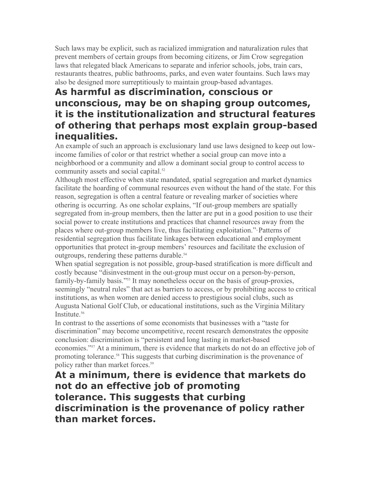Such laws may be explicit, such as racialized immigration and naturalization rules that prevent members of certain groups from becoming citizens, or Jim Crow segregation laws that relegated black Americans to separate and inferior schools, jobs, train cars, restaurants theatres, public bathrooms, parks, and even water fountains. Such laws may also be designed more surreptitiously to maintain group-based advantages.

### **As harmful as discrimination, conscious or unconscious, may be on shaping group outcomes, it is the institutionalization and structural features of othering that perhaps most explain group-based inequalities.**

An example of such an approach is exclusionary land use laws designed to keep out lowincome families of color or that restrict whether a social group can move into a neighborhood or a community and allow a dominant social group to control access to community assets and social capital.<sup>52</sup>

Although most effective when state mandated, spatial segregation and market dynamics facilitate the hoarding of communal resources even without the hand of the state. For this reason, segregation is often a central feature or revealing marker of societies where othering is occurring. As one scholar explains, "If out-group members are spatially segregated from in-group members, then the latter are put in a good position to use their social power to create institutions and practices that channel resources away from the places where out-group members live, thus facilitating exploitation."<sup>5</sup> Patterns of residential segregation thus facilitate linkages between educational and employment opportunities that protect in-group members' resources and facilitate the exclusion of outgroups, rendering these patterns durable.<sup>54</sup>

When spatial segregation is not possible, group-based stratification is more difficult and costly because "disinvestment in the out-group must occur on a person-by-person, family-by-family basis."55 It may nonetheless occur on the basis of group-proxies, seemingly "neutral rules" that act as barriers to access, or by prohibiting access to critical institutions, as when women are denied access to prestigious social clubs, such as Augusta National Golf Club, or educational institutions, such as the Virginia Military Institute<sup>56</sup>

In contrast to the assertions of some economists that businesses with a "taste for discrimination" may become uncompetitive, recent research demonstrates the opposite conclusion: discrimination is "persistent and long lasting in market-based economies."57 At a minimum, there is evidence that markets do not do an effective job of promoting tolerance.<sup>58</sup> This suggests that curbing discrimination is the provenance of policy rather than market forces.<sup>59</sup>

**At a minimum, there is evidence that markets do not do an effective job of promoting tolerance. This suggests that curbing discrimination is the provenance of policy rather than market forces.**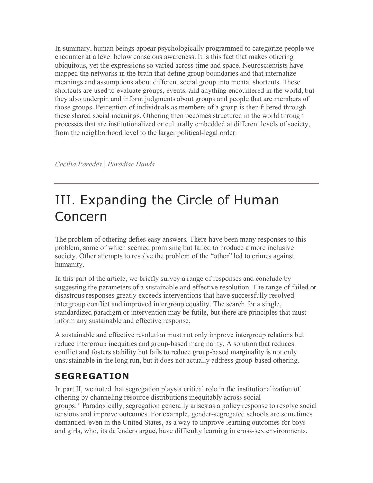In summary, human beings appear psychologically programmed to categorize people we encounter at a level below conscious awareness. It is this fact that makes othering ubiquitous, yet the expressions so varied across time and space. Neuroscientists have mapped the networks in the brain that define group boundaries and that internalize meanings and assumptions about different social group into mental shortcuts. These shortcuts are used to evaluate groups, events, and anything encountered in the world, but they also underpin and inform judgments about groups and people that are members of those groups. Perception of individuals as members of a group is then filtered through these shared social meanings. Othering then becomes structured in the world through processes that are institutionalized or culturally embedded at different levels of society, from the neighborhood level to the larger political-legal order.

*Cecilia Paredes | Paradise Hands*

# III. Expanding the Circle of Human Concern

The problem of othering defies easy answers. There have been many responses to this problem, some of which seemed promising but failed to produce a more inclusive society. Other attempts to resolve the problem of the "other" led to crimes against humanity.

In this part of the article, we briefly survey a range of responses and conclude by suggesting the parameters of a sustainable and effective resolution. The range of failed or disastrous responses greatly exceeds interventions that have successfully resolved intergroup conflict and improved intergroup equality. The search for a single, standardized paradigm or intervention may be futile, but there are principles that must inform any sustainable and effective response.

A sustainable and effective resolution must not only improve intergroup relations but reduce intergroup inequities and group-based marginality. A solution that reduces conflict and fosters stability but fails to reduce group-based marginality is not only unsustainable in the long run, but it does not actually address group-based othering.

## **SEGREGATION**

In part II, we noted that segregation plays a critical role in the institutionalization of othering by channeling resource distributions inequitably across social groups.60 Paradoxically, segregation generally arises as a policy response to resolve social tensions and improve outcomes. For example, gender-segregated schools are sometimes demanded, even in the United States, as a way to improve learning outcomes for boys and girls, who, its defenders argue, have difficulty learning in cross-sex environments,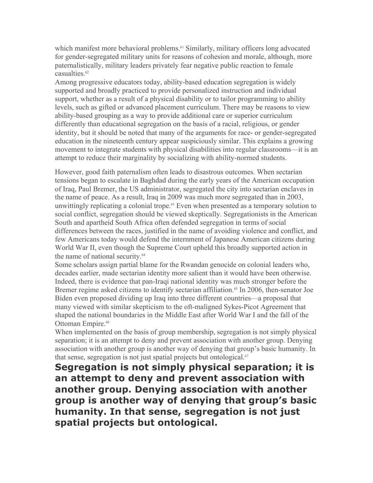which manifest more behavioral problems.<sup>61</sup> Similarly, military officers long advocated for gender-segregated military units for reasons of cohesion and morale, although, more paternalistically, military leaders privately fear negative public reaction to female casualties.<sup>62</sup>

Among progressive educators today, ability-based education segregation is widely supported and broadly practiced to provide personalized instruction and individual support, whether as a result of a physical disability or to tailor programming to ability levels, such as gifted or advanced placement curriculum. There may be reasons to view ability-based grouping as a way to provide additional care or superior curriculum differently than educational segregation on the basis of a racial, religious, or gender identity, but it should be noted that many of the arguments for race- or gender-segregated education in the nineteenth century appear suspiciously similar. This explains a growing movement to integrate students with physical disabilities into regular classrooms—it is an attempt to reduce their marginality by socializing with ability-normed students.

However, good faith paternalism often leads to disastrous outcomes. When sectarian tensions began to escalate in Baghdad during the early years of the American occupation of Iraq, Paul Bremer, the US administrator, segregated the city into sectarian enclaves in the name of peace. As a result, Iraq in 2009 was much more segregated than in 2003, unwittingly replicating a colonial trope.<sup>63</sup> Even when presented as a temporary solution to social conflict, segregation should be viewed skeptically. Segregationists in the American South and apartheid South Africa often defended segregation in terms of social differences between the races, justified in the name of avoiding violence and conflict, and few Americans today would defend the internment of Japanese American citizens during World War II, even though the Supreme Court upheld this broadly supported action in the name of national security.<sup>64</sup>

Some scholars assign partial blame for the Rwandan genocide on colonial leaders who, decades earlier, made sectarian identity more salient than it would have been otherwise. Indeed, there is evidence that pan-Iraqi national identity was much stronger before the Bremer regime asked citizens to identify sectarian affiliation.<sup>65</sup> In 2006, then-senator Joe Biden even proposed dividing up Iraq into three different countries—a proposal that many viewed with similar skepticism to the oft-maligned Sykes-Picot Agreement that shaped the national boundaries in the Middle East after World War I and the fall of the Ottoman Empire.<sup>66</sup>

When implemented on the basis of group membership, segregation is not simply physical separation; it is an attempt to deny and prevent association with another group. Denying association with another group is another way of denying that group's basic humanity. In that sense, segregation is not just spatial projects but ontological.<sup>67</sup>

**Segregation is not simply physical separation; it is an attempt to deny and prevent association with another group. Denying association with another group is another way of denying that group's basic humanity. In that sense, segregation is not just spatial projects but ontological.**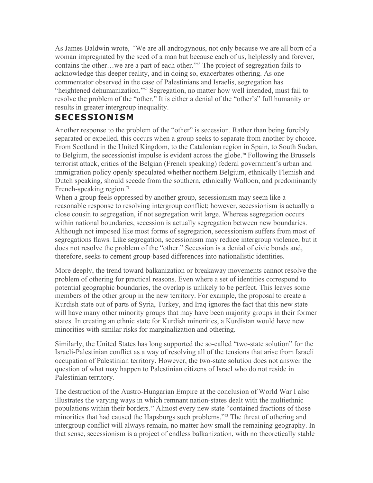As James Baldwin wrote, *"*We are all androgynous, not only because we are all born of a woman impregnated by the seed of a man but because each of us, helplessly and forever, contains the other…we are a part of each other."68 The project of segregation fails to acknowledge this deeper reality, and in doing so, exacerbates othering. As one commentator observed in the case of Palestinians and Israelis, segregation has "heightened dehumanization."69 Segregation, no matter how well intended, must fail to resolve the problem of the "other." It is either a denial of the "other's" full humanity or results in greater intergroup inequality.

#### **SECESSIONISM**

Another response to the problem of the "other" is secession. Rather than being forcibly separated or expelled, this occurs when a group seeks to separate from another by choice. From Scotland in the United Kingdom, to the Catalonian region in Spain, to South Sudan, to Belgium, the secessionist impulse is evident across the globe.<sup>70</sup> Following the Brussels terrorist attack, critics of the Belgian (French speaking) federal government's urban and immigration policy openly speculated whether northern Belgium, ethnically Flemish and Dutch speaking, should secede from the southern, ethnically Walloon, and predominantly French-speaking region. $71$ 

When a group feels oppressed by another group, secessionism may seem like a reasonable response to resolving intergroup conflict; however, secessionism is actually a close cousin to segregation, if not segregation writ large. Whereas segregation occurs within national boundaries, secession is actually segregation between new boundaries. Although not imposed like most forms of segregation, secessionism suffers from most of segregations flaws. Like segregation, secessionism may reduce intergroup violence, but it does not resolve the problem of the "other." Secession is a denial of civic bonds and, therefore, seeks to cement group-based differences into nationalistic identities.

More deeply, the trend toward balkanization or breakaway movements cannot resolve the problem of othering for practical reasons. Even where a set of identities correspond to potential geographic boundaries, the overlap is unlikely to be perfect. This leaves some members of the other group in the new territory. For example, the proposal to create a Kurdish state out of parts of Syria, Turkey, and Iraq ignores the fact that this new state will have many other minority groups that may have been majority groups in their former states. In creating an ethnic state for Kurdish minorities, a Kurdistan would have new minorities with similar risks for marginalization and othering.

Similarly, the United States has long supported the so-called "two-state solution" for the Israeli-Palestinian conflict as a way of resolving all of the tensions that arise from Israeli occupation of Palestinian territory. However, the two-state solution does not answer the question of what may happen to Palestinian citizens of Israel who do not reside in Palestinian territory.

The destruction of the Austro-Hungarian Empire at the conclusion of World War I also illustrates the varying ways in which remnant nation-states dealt with the multiethnic populations within their borders.72 Almost every new state "contained fractions of those minorities that had caused the Hapsburgs such problems."73 The threat of othering and intergroup conflict will always remain, no matter how small the remaining geography. In that sense, secessionism is a project of endless balkanization, with no theoretically stable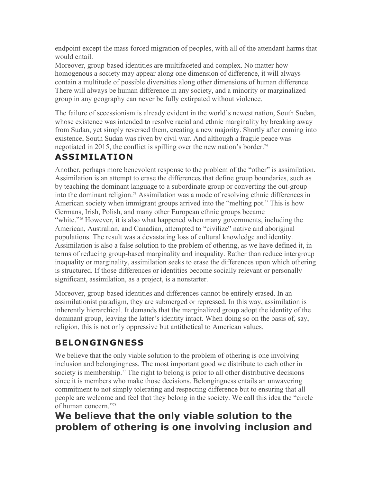endpoint except the mass forced migration of peoples, with all of the attendant harms that would entail.

Moreover, group-based identities are multifaceted and complex. No matter how homogenous a society may appear along one dimension of difference, it will always contain a multitude of possible diversities along other dimensions of human difference. There will always be human difference in any society, and a minority or marginalized group in any geography can never be fully extirpated without violence.

The failure of secessionism is already evident in the world's newest nation, South Sudan, whose existence was intended to resolve racial and ethnic marginality by breaking away from Sudan, yet simply reversed them, creating a new majority. Shortly after coming into existence, South Sudan was riven by civil war. And although a fragile peace was negotiated in 2015, the conflict is spilling over the new nation's border.<sup>74</sup>

## **ASSIMILATION**

Another, perhaps more benevolent response to the problem of the "other" is assimilation. Assimilation is an attempt to erase the differences that define group boundaries, such as by teaching the dominant language to a subordinate group or converting the out-group into the dominant religion.75 Assimilation was a mode of resolving ethnic differences in American society when immigrant groups arrived into the "melting pot." This is how Germans, Irish, Polish, and many other European ethnic groups became "white."76 However, it is also what happened when many governments, including the American, Australian, and Canadian, attempted to "civilize" native and aboriginal populations. The result was a devastating loss of cultural knowledge and identity. Assimilation is also a false solution to the problem of othering, as we have defined it, in terms of reducing group-based marginality and inequality. Rather than reduce intergroup inequality or marginality, assimilation seeks to erase the differences upon which othering is structured. If those differences or identities become socially relevant or personally significant, assimilation, as a project, is a nonstarter.

Moreover, group-based identities and differences cannot be entirely erased. In an assimilationist paradigm, they are submerged or repressed. In this way, assimilation is inherently hierarchical. It demands that the marginalized group adopt the identity of the dominant group, leaving the latter's identity intact. When doing so on the basis of, say, religion, this is not only oppressive but antithetical to American values.

## **BELONGINGNESS**

We believe that the only viable solution to the problem of othering is one involving inclusion and belongingness. The most important good we distribute to each other in society is membership.<sup>77</sup> The right to belong is prior to all other distributive decisions since it is members who make those decisions. Belongingness entails an unwavering commitment to not simply tolerating and respecting difference but to ensuring that all people are welcome and feel that they belong in the society. We call this idea the "circle of human concern."78

## **We believe that the only viable solution to the problem of othering is one involving inclusion and**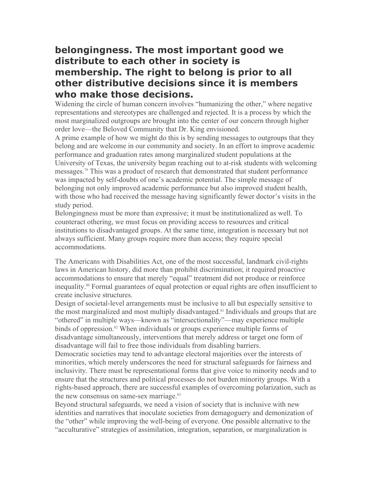## **belongingness. The most important good we distribute to each other in society is membership. The right to belong is prior to all other distributive decisions since it is members who make those decisions.**

Widening the circle of human concern involves "humanizing the other," where negative representations and stereotypes are challenged and rejected. It is a process by which the most marginalized outgroups are brought into the center of our concern through higher order love—the Beloved Community that Dr. King envisioned.

A prime example of how we might do this is by sending messages to outgroups that they belong and are welcome in our community and society. In an effort to improve academic performance and graduation rates among marginalized student populations at the University of Texas, the university began reaching out to at-risk students with welcoming messages.79 This was a product of research that demonstrated that student performance was impacted by self-doubts of one's academic potential. The simple message of belonging not only improved academic performance but also improved student health, with those who had received the message having significantly fewer doctor's visits in the study period.

Belongingness must be more than expressive; it must be institutionalized as well. To counteract othering, we must focus on providing access to resources and critical institutions to disadvantaged groups. At the same time, integration is necessary but not always sufficient. Many groups require more than access; they require special accommodations.

The Americans with Disabilities Act, one of the most successful, landmark civil-rights laws in American history, did more than prohibit discrimination; it required proactive accommodations to ensure that merely "equal" treatment did not produce or reinforce inequality.80 Formal guarantees of equal protection or equal rights are often insufficient to create inclusive structures.

Design of societal-level arrangements must be inclusive to all but especially sensitive to the most marginalized and most multiply disadvantaged.<sup>81</sup> Individuals and groups that are "othered" in multiple ways—known as "intersectionality"—may experience multiple binds of oppression.<sup>82</sup> When individuals or groups experience multiple forms of disadvantage simultaneously, interventions that merely address or target one form of disadvantage will fail to free those individuals from disabling barriers.

Democratic societies may tend to advantage electoral majorities over the interests of minorities, which merely underscores the need for structural safeguards for fairness and inclusivity. There must be representational forms that give voice to minority needs and to ensure that the structures and political processes do not burden minority groups. With a rights-based approach, there are successful examples of overcoming polarization, such as the new consensus on same-sex marriage.<sup>83</sup>

Beyond structural safeguards, we need a vision of society that is inclusive with new identities and narratives that inoculate societies from demagoguery and demonization of the "other" while improving the well-being of everyone. One possible alternative to the "acculturative" strategies of assimilation, integration, separation, or marginalization is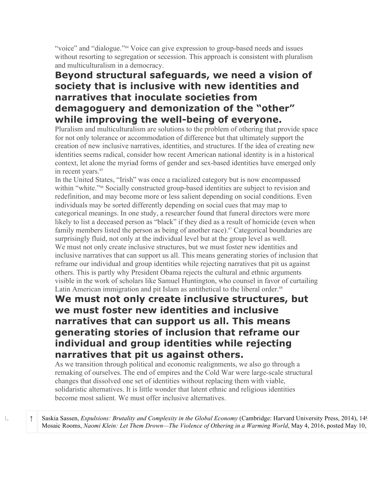"voice" and "dialogue."84 Voice can give expression to group-based needs and issues without resorting to segregation or secession. This approach is consistent with pluralism and multiculturalism in a democracy.

## **Beyond structural safeguards, we need a vision of society that is inclusive with new identities and narratives that inoculate societies from demagoguery and demonization of the "other" while improving the well-being of everyone.**

Pluralism and multiculturalism are solutions to the problem of othering that provide space for not only tolerance or accommodation of difference but that ultimately support the creation of new inclusive narratives, identities, and structures. If the idea of creating new identities seems radical, consider how recent American national identity is in a historical context, let alone the myriad forms of gender and sex-based identities have emerged only in recent years.<sup>85</sup>

In the United States, "Irish" was once a racialized category but is now encompassed within "white."<sup>86</sup> Socially constructed group-based identities are subject to revision and redefinition, and may become more or less salient depending on social conditions. Even individuals may be sorted differently depending on social cues that may map to categorical meanings. In one study, a researcher found that funeral directors were more likely to list a deceased person as "black" if they died as a result of homicide (even when family members listed the person as being of another race).<sup>87</sup> Categorical boundaries are surprisingly fluid, not only at the individual level but at the group level as well. We must not only create inclusive structures, but we must foster new identities and inclusive narratives that can support us all. This means generating stories of inclusion that reframe our individual and group identities while rejecting narratives that pit us against others. This is partly why President Obama rejects the cultural and ethnic arguments visible in the work of scholars like Samuel Huntington, who counsel in favor of curtailing Latin American immigration and pit Islam as antithetical to the liberal order.<sup>88</sup>

### **We must not only create inclusive structures, but we must foster new identities and inclusive narratives that can support us all. This means generating stories of inclusion that reframe our individual and group identities while rejecting narratives that pit us against others.**

As we transition through political and economic realignments, we also go through a remaking of ourselves. The end of empires and the Cold War were large-scale structural changes that dissolved one set of identities without replacing them with viable, solidaristic alternatives. It is little wonder that latent ethnic and religious identities become most salient. We must offer inclusive alternatives.

1. ↑ Saskia Sassen, *Expulsions: Brutality and Complexity in the Global Economy* (Cambridge: Harvard University Press, 2014), 149-151; The Mosaic Rooms, *Naomi Klein: Let Them Drown—The Violence of Othering in a Warming World*, May 4, 2016, posted May 10,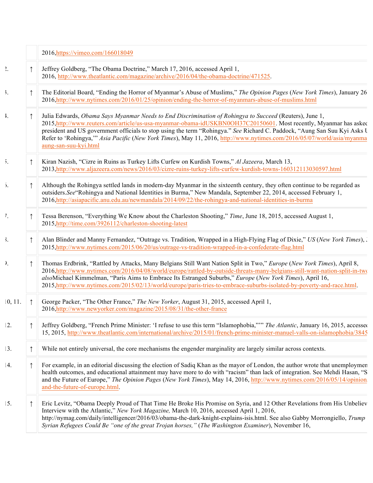|                                 |            | 2016, https://vimeo.com/166018049                                                                                                                                                                                                                                                                                                                                                                                                                                                                            |
|---------------------------------|------------|--------------------------------------------------------------------------------------------------------------------------------------------------------------------------------------------------------------------------------------------------------------------------------------------------------------------------------------------------------------------------------------------------------------------------------------------------------------------------------------------------------------|
| $\frac{1}{2}$                   |            | Jeffrey Goldberg, "The Obama Doctrine," March 17, 2016, accessed April 1,<br>2016, http://www.theatlantic.com/magazine/archive/2016/04/the-obama-doctrine/471525.                                                                                                                                                                                                                                                                                                                                            |
| $\mathfrak{z}$ .                |            | The Editorial Board, "Ending the Horror of Myanmar's Abuse of Muslims," The Opinion Pages (New York Times), January 26<br>2016, http://www.nytimes.com/2016/01/25/opinion/ending-the-horror-of-myanmars-abuse-of-muslims.html                                                                                                                                                                                                                                                                                |
| ŧ.                              | ↑          | Julia Edwards, Obama Says Myanmar Needs to End Discrimination of Rohingya to Succeed (Reuters), June 1,<br>2015, http://www.reuters.com/article/us-usa-myanmar-obama-idUSKBN0OH37C20150601. Most recently, Myanmar has asked<br>president and US government officials to stop using the term "Rohingya." See Richard C. Paddock, "Aung San Suu Kyi Asks U<br>Refer to 'Rohingya,'" Asia Pacific (New York Times), May 11, 2016, http://www.nytimes.com/2016/05/07/world/asia/myanma<br>aung-san-suu-kyi.html |
| $\overline{\mathfrak{z}}$ .     |            | Kiran Nazish, "Cizre in Ruins as Turkey Lifts Curfew on Kurdish Towns," Al Jazeera, March 13,<br>2013, http://www.aljazeera.com/news/2016/03/cizre-ruins-turkey-lifts-curfew-kurdish-towns-160312113030597.html                                                                                                                                                                                                                                                                                              |
| $\tilde{\mathbf{b}}$ .          |            | Although the Rohingya settled lands in modern-day Myanmar in the sixteenth century, they often continue to be regarded as<br>outsiders. See "Rohingya and National Identities in Burma," New Mandala, September 22, 2014, accessed February 1,<br>2016, http://asiapacific.anu.edu.au/newmandala/2014/09/22/the-rohingya-and-national-identities-in-burma                                                                                                                                                    |
| $7_{\scriptscriptstyle{\star}}$ |            | Tessa Berenson, "Everything We Know about the Charleston Shooting," Time, June 18, 2015, accessed August 1,<br>2015, http://time.com/3926112/charleston-shooting-latest                                                                                                                                                                                                                                                                                                                                      |
| $\delta$ .                      |            | Alan Blinder and Manny Fernandez, "Outrage vs. Tradition, Wrapped in a High-Flying Flag of Dixie," US (New York Times), .<br>2015, http://www.nytimes.com/2015/06/20/us/outrage-vs-tradition-wrapped-in-a-confederate-flag.html                                                                                                                                                                                                                                                                              |
| $\mathcal{V}$                   |            | Thomas Erdbrink, "Rattled by Attacks, Many Belgians Still Want Nation Split in Two," Europe (New York Times), April 8,<br>2016,http://www.nytimes.com/2016/04/08/world/europe/rattled-by-outside-threats-many-belgians-still-want-nation-split-in-two<br>alsoMichael Kimmelman, "Paris Aims to Embrace Its Estranged Suburbs," Europe (New York Times), April 16,<br>2015, http://www.nytimes.com/2015/02/13/world/europe/paris-tries-to-embrace-suburbs-isolated-by-poverty-and-race.html.                  |
| 10, 11.                         |            | George Packer, "The Other France," The New Yorker, August 31, 2015, accessed April 1,<br>2016, http://www.newyorker.com/magazine/2015/08/31/the-other-france                                                                                                                                                                                                                                                                                                                                                 |
| 2.                              |            | Jeffrey Goldberg, "French Prime Minister: 'I refuse to use this term "Islamophobia,"" The Atlantic, January 16, 2015, accessed<br>15, 2015, http://www.theatlantic.com/international/archive/2015/01/french-prime-minister-manuel-valls-on-islamophobia/3845                                                                                                                                                                                                                                                 |
| 13.                             |            | While not entirely universal, the core mechanisms the engender marginality are largely similar across contexts.                                                                                                                                                                                                                                                                                                                                                                                              |
| 4.                              | $\uparrow$ | For example, in an editorial discussing the election of Sadiq Khan as the mayor of London, the author wrote that unemploymen<br>health outcomes, and educational attainment may have more to do with "racism" than lack of integration. See Mehdi Hasan, "S<br>and the Future of Europe," The Opinion Pages (New York Times), May 14, 2016, http://www.nytimes.com/2016/05/14/opinion.<br>and-the-future-of-europe.html.                                                                                     |
| $\overline{5}$ .                |            | Eric Levitz, "Obama Deeply Proud of That Time He Broke His Promise on Syria, and 12 Other Revelations from His Unbeliev<br>Interview with the Atlantic," New York Magazine, March 10, 2016, accessed April 1, 2016,<br>http://nymag.com/daily/intelligencer/2016/03/obama-the-dark-knight-explains-isis.html. See also Gabby Morrongiello, Trump<br>Syrian Refugees Could Be "one of the great Trojan horses," (The Washington Examiner), November 16,                                                       |
|                                 |            |                                                                                                                                                                                                                                                                                                                                                                                                                                                                                                              |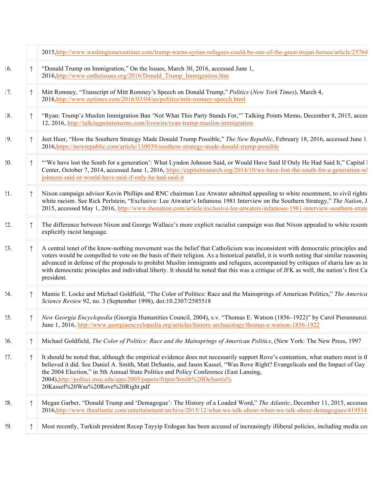|     |            | 2015, http://www.washingtonexaminer.com/trump-warns-syrian-refugees-could-be-one-of-the-great-trojan-horses/article/25764                                                                                                                                                                                                                                                                                                                                                                                                                                    |
|-----|------------|--------------------------------------------------------------------------------------------------------------------------------------------------------------------------------------------------------------------------------------------------------------------------------------------------------------------------------------------------------------------------------------------------------------------------------------------------------------------------------------------------------------------------------------------------------------|
| 16. |            | "Donald Trump on Immigration," On the Issues, March 30, 2016, accessed June 1,<br>2016, http://www.ontheissues.org/2016/Donald Trump Immigration.htm                                                                                                                                                                                                                                                                                                                                                                                                         |
| 17. |            | Mitt Romney, "Transcript of Mitt Romney's Speech on Donald Trump," Politics (New York Times), March 4,<br>2016, http://www.nytimes.com/2016/03/04/us/politics/mitt-romney-speech.html                                                                                                                                                                                                                                                                                                                                                                        |
| 8.  |            | "Ryan: Trump's Muslim Immigration Ban 'Not What This Party Stands For," Talking Points Memo, December 8, 2015, acces<br>12, 2016, http://talkingpointsmemo.com/livewire/ryan-trump-muslim-immigration                                                                                                                                                                                                                                                                                                                                                        |
| 9.  |            | Jeet Heer, "How the Southern Strategy Made Donald Trump Possible," The New Republic, February 18, 2016, accessed June 1.<br>2016, https://newrepublic.com/article/130039/southern-strategy-made-donald-trump-possible                                                                                                                                                                                                                                                                                                                                        |
| 20. |            | "We have lost the South for a generation': What Lyndon Johnson Said, or Would Have Said If Only He Had Said It," Capital I<br>Center, October 7, 2014, accessed June 1, 2016, https://capitalresearch.org/2014/10/we-have-lost-the-south-for-a-generation-wl<br>johnson-said-or-would-have-said-if-only-he-had-said-it                                                                                                                                                                                                                                       |
| 21. |            | Nixon campaign advisor Kevin Phillips and RNC chairman Lee Atwater admitted appealing to white resentment, to civil rights<br>white racism. See Rick Perlstein, "Exclusive: Lee Atwater's Infamous 1981 Interview on the Southern Strategy," The Nation, J<br>2015, accessed May 1, 2016, http://www.thenation.com/article/exclusive-lee-atwaters-infamous-1981-interview-southern-strate                                                                                                                                                                    |
| 22. |            | The difference between Nixon and George Wallace's more explicit racialist campaign was that Nixon appealed to white resents<br>explicitly racist language.                                                                                                                                                                                                                                                                                                                                                                                                   |
| 23. |            | A central tenet of the know-nothing movement was the belief that Catholicism was inconsistent with democratic principles and<br>voters would be compelled to vote on the basis of their religion. As a historical parallel, it is worth noting that similar reasoning<br>advanced in defense of the proposals to prohibit Muslim immigrants and refugees, accompanied by critiques of sharia law as in<br>with democratic principles and individual liberty. It should be noted that this was a critique of JFK as well, the nation's first Ca<br>president. |
| 24. |            | Mamie E. Locke and Michael Goldfield, "The Color of Politics: Race and the Mainsprings of American Politics," The America<br>Science Review 92, no. 3 (September 1998), doi:10.2307/2585518                                                                                                                                                                                                                                                                                                                                                                  |
| 25. |            | New Georgia Encyclopedia (Georgia Humanities Council, 2004), s.v. "Thomas E. Watson (1856–1922)" by Carol Pierannunzi.<br>June 1, 2016, http://www.georgiaencyclopedia.org/articles/history-archaeology/thomas-e-watson-1856-1922                                                                                                                                                                                                                                                                                                                            |
| 26. |            | Michael Goldfield, The Color of Politics: Race and the Mainsprings of American Politics, (New York: The New Press, 1997                                                                                                                                                                                                                                                                                                                                                                                                                                      |
| 27. | $\uparrow$ | It should be noted that, although the empirical evidence does not necessarily support Rove's contention, what matters most is the<br>believed it did. See Daniel A. Smith, Matt DeSantis, and Jason Kassel, "Was Rove Right? Evangelicals and the Impact of Gay<br>the 2004 Election," in 5th Annual State Politics and Policy Conference (East Lansing,<br>2004), http://polisci.msu.edu/sppc2005/papers/fripm/Smith%20DeSantis%<br>20Kassel%20Was%20Rove%20Right.pdf                                                                                       |
| 28. |            | Megan Garber, "Donald Trump and 'Demagogue': The History of a Loaded Word," The Atlantic, December 11, 2015, accessed<br>2016, http://www.theatlantic.com/entertainment/archive/2015/12/what-we-talk-about-when-we-talk-about-demagogues/419514                                                                                                                                                                                                                                                                                                              |
| 29. |            | Most recently, Turkish president Recep Tayyip Erdogan has been accused of increasingly illiberal policies, including media cen                                                                                                                                                                                                                                                                                                                                                                                                                               |
|     |            |                                                                                                                                                                                                                                                                                                                                                                                                                                                                                                                                                              |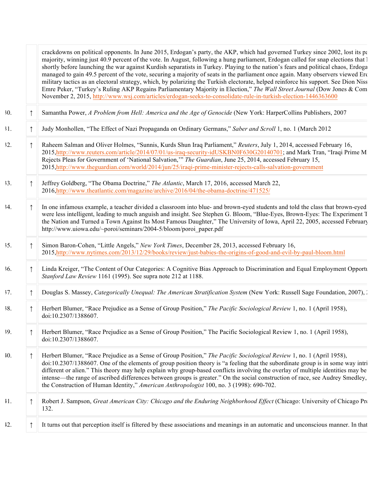|     | crackdowns on political opponents. In June 2015, Erdogan's party, the AKP, which had governed Turkey since 2002, lost its party<br>majority, winning just 40.9 percent of the vote. In August, following a hung parliament, Erdogan called for snap elections that I<br>shortly before launching the war against Kurdish separatists in Turkey. Playing to the nation's fears and political chaos, Erdoga<br>managed to gain 49.5 percent of the vote, securing a majority of seats in the parliament once again. Many observers viewed Erc<br>military tactics as an electoral strategy, which, by polarizing the Turkish electorate, helped reinforce his support. See Dion Niss<br>Emre Peker, "Turkey's Ruling AKP Regains Parliamentary Majority in Election," The Wall Street Journal (Dow Jones & Com<br>November 2, 2015, http://www.wsj.com/articles/erdogan-seeks-to-consolidate-rule-in-turkish-election-1446363600 |
|-----|--------------------------------------------------------------------------------------------------------------------------------------------------------------------------------------------------------------------------------------------------------------------------------------------------------------------------------------------------------------------------------------------------------------------------------------------------------------------------------------------------------------------------------------------------------------------------------------------------------------------------------------------------------------------------------------------------------------------------------------------------------------------------------------------------------------------------------------------------------------------------------------------------------------------------------|
| 30. | Samantha Power, A Problem from Hell: America and the Age of Genocide (New York: HarperCollins Publishers, 2007                                                                                                                                                                                                                                                                                                                                                                                                                                                                                                                                                                                                                                                                                                                                                                                                                 |
| 31. | Judy Monhollen, "The Effect of Nazi Propaganda on Ordinary Germans," Saber and Scroll 1, no. 1 (March 2012                                                                                                                                                                                                                                                                                                                                                                                                                                                                                                                                                                                                                                                                                                                                                                                                                     |
| 32. | Raheem Salman and Oliver Holmes, "Sunnis, Kurds Shun Iraq Parliament," Reuters, July 1, 2014, accessed February 16,<br>2015, http://www.reuters.com/article/2014/07/01/us-iraq-security-idUSKBN0F630G20140701; and Mark Tran, "Iraqi Prime M<br>Rejects Pleas for Government of 'National Salvation," The Guardian, June 25, 2014, accessed February 15,<br>2015, http://www.theguardian.com/world/2014/jun/25/iraqi-prime-minister-rejects-calls-salvation-government                                                                                                                                                                                                                                                                                                                                                                                                                                                         |
| 33. | Jeffrey Goldberg, "The Obama Doctrine," The Atlantic, March 17, 2016, accessed March 22,<br>2016, http://www.theatlantic.com/magazine/archive/2016/04/the-obama-doctrine/471525/                                                                                                                                                                                                                                                                                                                                                                                                                                                                                                                                                                                                                                                                                                                                               |
| 34. | In one infamous example, a teacher divided a classroom into blue- and brown-eyed students and told the class that brown-eyed<br>were less intelligent, leading to much anguish and insight. See Stephen G. Bloom, "Blue-Eyes, Brown-Eyes: The Experiment T<br>the Nation and Turned a Town Against Its Most Famous Daughter," The University of Iowa, April 22, 2005, accessed February<br>http://www.uiowa.edu/~poroi/seminars/2004-5/bloom/poroi_paper.pdf                                                                                                                                                                                                                                                                                                                                                                                                                                                                   |
| 35. | Simon Baron-Cohen, "Little Angels," New York Times, December 28, 2013, accessed February 16,<br>2015, http://www.nytimes.com/2013/12/29/books/review/just-babies-the-origins-of-good-and-evil-by-paul-bloom.html                                                                                                                                                                                                                                                                                                                                                                                                                                                                                                                                                                                                                                                                                                               |
| 36. | Linda Kreiger, "The Content of Our Categories: A Cognitive Bias Approach to Discrimination and Equal Employment Opportu<br>Stanford Law Review 1161 (1995). See supra note 212 at 1188.                                                                                                                                                                                                                                                                                                                                                                                                                                                                                                                                                                                                                                                                                                                                        |
| 37. | Douglas S. Massey, Categorically Unequal: The American Stratification System (New York: Russell Sage Foundation, 2007), .                                                                                                                                                                                                                                                                                                                                                                                                                                                                                                                                                                                                                                                                                                                                                                                                      |
| 38. | Herbert Blumer, "Race Prejudice as a Sense of Group Position," The Pacific Sociological Review 1, no. 1 (April 1958),<br>doi:10.2307/1388607.                                                                                                                                                                                                                                                                                                                                                                                                                                                                                                                                                                                                                                                                                                                                                                                  |
| 39. | Herbert Blumer, "Race Prejudice as a Sense of Group Position," The Pacific Sociological Review 1, no. 1 (April 1958),<br>doi:10.2307/1388607.                                                                                                                                                                                                                                                                                                                                                                                                                                                                                                                                                                                                                                                                                                                                                                                  |
| 10. | Herbert Blumer, "Race Prejudice as a Sense of Group Position," The Pacific Sociological Review 1, no. 1 (April 1958),<br>doi:10.2307/1388607. One of the elements of group position theory is "a feeling that the subordinate group is in some way intri<br>different or alien." This theory may help explain why group-based conflicts involving the overlay of multiple identities may be<br>intense—the range of ascribed differences between groups is greater." On the social construction of race, see Audrey Smedley,<br>the Construction of Human Identity," American Anthropologist 100, no. 3 (1998): 690-702.                                                                                                                                                                                                                                                                                                       |
| 11. | Robert J. Sampson, Great American City: Chicago and the Enduring Neighborhood Effect (Chicago: University of Chicago Pro<br>132.                                                                                                                                                                                                                                                                                                                                                                                                                                                                                                                                                                                                                                                                                                                                                                                               |
| 12. | It turns out that perception itself is filtered by these associations and meanings in an automatic and unconscious manner. In that                                                                                                                                                                                                                                                                                                                                                                                                                                                                                                                                                                                                                                                                                                                                                                                             |
|     |                                                                                                                                                                                                                                                                                                                                                                                                                                                                                                                                                                                                                                                                                                                                                                                                                                                                                                                                |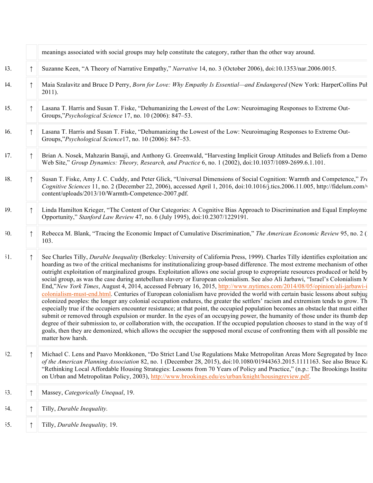|     | meanings associated with social groups may help constitute the category, rather than the other way around.                                                                                                                                                                                                                                                                                                                                                                                                                                                                                                                                                                                                                                                                                                                                                                                                                                                                                                                                                                                                                                                                                                                                                                                                                                                                                                                                                                                                |
|-----|-----------------------------------------------------------------------------------------------------------------------------------------------------------------------------------------------------------------------------------------------------------------------------------------------------------------------------------------------------------------------------------------------------------------------------------------------------------------------------------------------------------------------------------------------------------------------------------------------------------------------------------------------------------------------------------------------------------------------------------------------------------------------------------------------------------------------------------------------------------------------------------------------------------------------------------------------------------------------------------------------------------------------------------------------------------------------------------------------------------------------------------------------------------------------------------------------------------------------------------------------------------------------------------------------------------------------------------------------------------------------------------------------------------------------------------------------------------------------------------------------------------|
| 13. | Suzanne Keen, "A Theory of Narrative Empathy," Narrative 14, no. 3 (October 2006), doi:10.1353/nar.2006.0015.                                                                                                                                                                                                                                                                                                                                                                                                                                                                                                                                                                                                                                                                                                                                                                                                                                                                                                                                                                                                                                                                                                                                                                                                                                                                                                                                                                                             |
| 14. | Maia Szalavitz and Bruce D Perry, Born for Love: Why Empathy Is Essential—and Endangered (New York: HarperCollins Pul<br>$2011$ ).                                                                                                                                                                                                                                                                                                                                                                                                                                                                                                                                                                                                                                                                                                                                                                                                                                                                                                                                                                                                                                                                                                                                                                                                                                                                                                                                                                        |
| 15. | Lasana T. Harris and Susan T. Fiske, "Dehumanizing the Lowest of the Low: Neuroimaging Responses to Extreme Out-<br>Groups,"Psychological Science 17, no. 10 (2006): 847–53.                                                                                                                                                                                                                                                                                                                                                                                                                                                                                                                                                                                                                                                                                                                                                                                                                                                                                                                                                                                                                                                                                                                                                                                                                                                                                                                              |
| 16. | Lasana T. Harris and Susan T. Fiske, "Dehumanizing the Lowest of the Low: Neuroimaging Responses to Extreme Out-<br>Groups,"Psychological Science17, no. 10 (2006): 847-53.                                                                                                                                                                                                                                                                                                                                                                                                                                                                                                                                                                                                                                                                                                                                                                                                                                                                                                                                                                                                                                                                                                                                                                                                                                                                                                                               |
| 17. | Brian A. Nosek, Mahzarin Banaji, and Anthony G. Greenwald, "Harvesting Implicit Group Attitudes and Beliefs from a Demo<br>Web Site," Group Dynamics: Theory, Research, and Practice 6, no. 1 (2002), doi:10.1037/1089-2699.6.1.101.                                                                                                                                                                                                                                                                                                                                                                                                                                                                                                                                                                                                                                                                                                                                                                                                                                                                                                                                                                                                                                                                                                                                                                                                                                                                      |
| 18. | Susan T. Fiske, Amy J. C. Cuddy, and Peter Glick, "Universal Dimensions of Social Cognition: Warmth and Competence," Tre<br>Cognitive Sciences 11, no. 2 (December 22, 2006), accessed April 1, 2016, doi:10.1016/j.tics.2006.11.005, http://fidelum.com/<br>content/uploads/2013/10/Warmth-Competence-2007.pdf.                                                                                                                                                                                                                                                                                                                                                                                                                                                                                                                                                                                                                                                                                                                                                                                                                                                                                                                                                                                                                                                                                                                                                                                          |
| 19. | Linda Hamilton Krieger, "The Content of Our Categories: A Cognitive Bias Approach to Discrimination and Equal Employme<br>Opportunity," Stanford Law Review 47, no. 6 (July 1995), doi:10.2307/1229191.                                                                                                                                                                                                                                                                                                                                                                                                                                                                                                                                                                                                                                                                                                                                                                                                                                                                                                                                                                                                                                                                                                                                                                                                                                                                                                   |
| 50. | Rebecca M. Blank, "Tracing the Economic Impact of Cumulative Discrimination," The American Economic Review 95, no. 2 (<br>103.                                                                                                                                                                                                                                                                                                                                                                                                                                                                                                                                                                                                                                                                                                                                                                                                                                                                                                                                                                                                                                                                                                                                                                                                                                                                                                                                                                            |
| 51. | See Charles Tilly, Durable Inequality (Berkeley: University of California Press, 1999). Charles Tilly identifies exploitation and<br>hoarding as two of the critical mechanisms for institutionalizing group-based difference. The most extreme mechanism of other<br>outright exploitation of marginalized groups. Exploitation allows one social group to expropriate resources produced or held by<br>social group, as was the case during antebellum slavery or European colonialism. See also Ali Jarbawi, "Israel's Colonialism N.<br>End,"New York Times, August 4, 2014, accessed February 16, 2015, http://www.nytimes.com/2014/08/05/opinion/ali-jarbawi-i<br>colonialism-must-end.html. Centuries of European colonialism have provided the world with certain basic lessons about subjug<br>colonized peoples: the longer any colonial occupation endures, the greater the settlers' racism and extremism tends to grow. The<br>especially true if the occupiers encounter resistance; at that point, the occupied population becomes an obstacle that must either<br>submit or removed through expulsion or murder. In the eyes of an occupying power, the humanity of those under its thumb dep<br>degree of their submission to, or collaboration with, the occupation. If the occupied population chooses to stand in the way of the<br>goals, then they are demonized, which allows the occupier the supposed moral excuse of confronting them with all possible me<br>matter how harsh. |
| 52. | Michael C. Lens and Paavo Monkkonen, "Do Strict Land Use Regulations Make Metropolitan Areas More Segregated by Incor<br>of the American Planning Association 82, no. 1 (December 28, 2015), doi:10.1080/01944363.2015.1111163. See also Bruce Ka<br>"Rethinking Local Affordable Housing Strategies: Lessons from 70 Years of Policy and Practice," (n.p.: The Brookings Institution<br>on Urban and Metropolitan Policy, 2003), http://www.brookings.edu/es/urban/knight/housingreview.pdf.                                                                                                                                                                                                                                                                                                                                                                                                                                                                                                                                                                                                                                                                                                                                                                                                                                                                                                                                                                                                             |
| 53. | Massey, Categorically Unequal, 19.                                                                                                                                                                                                                                                                                                                                                                                                                                                                                                                                                                                                                                                                                                                                                                                                                                                                                                                                                                                                                                                                                                                                                                                                                                                                                                                                                                                                                                                                        |
| 54. | Tilly, Durable Inequality.                                                                                                                                                                                                                                                                                                                                                                                                                                                                                                                                                                                                                                                                                                                                                                                                                                                                                                                                                                                                                                                                                                                                                                                                                                                                                                                                                                                                                                                                                |
| 55. | Tilly, Durable Inequality, 19.                                                                                                                                                                                                                                                                                                                                                                                                                                                                                                                                                                                                                                                                                                                                                                                                                                                                                                                                                                                                                                                                                                                                                                                                                                                                                                                                                                                                                                                                            |
|     |                                                                                                                                                                                                                                                                                                                                                                                                                                                                                                                                                                                                                                                                                                                                                                                                                                                                                                                                                                                                                                                                                                                                                                                                                                                                                                                                                                                                                                                                                                           |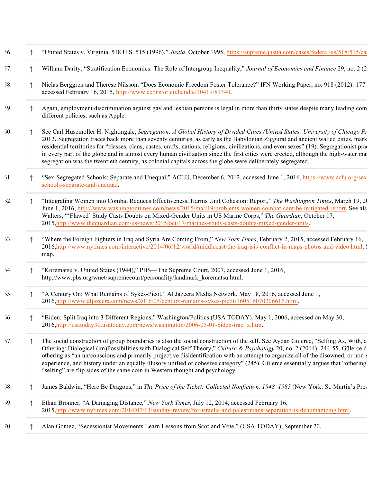| 56. |   | "United States v. Virginia, 518 U.S. 515 (1996)," Justia, October 1995, https://supreme.justia.com/cases/federal/us/518/515/ca:                                                                                                                                                                                                                                                                                                                                                                                                                                                                                                                                       |
|-----|---|-----------------------------------------------------------------------------------------------------------------------------------------------------------------------------------------------------------------------------------------------------------------------------------------------------------------------------------------------------------------------------------------------------------------------------------------------------------------------------------------------------------------------------------------------------------------------------------------------------------------------------------------------------------------------|
| 57. |   | William Darity, "Stratification Economics: The Role of Intergroup Inequality," Journal of Economics and Finance 29, no. 2 (2)                                                                                                                                                                                                                                                                                                                                                                                                                                                                                                                                         |
| 58. | ↑ | Niclas Berggren and Therese Nilsson, "Does Economic Freedom Foster Tolerance?" IFN Working Paper, no. 918 (2012): 177-<br>accessed February 16, 2015, http://www.econstor.eu/handle/10419/81340.                                                                                                                                                                                                                                                                                                                                                                                                                                                                      |
| 59. |   | Again, employment discrimination against gay and lesbian persons is legal in more than thirty states despite many leading com<br>different policies, such as Apple.                                                                                                                                                                                                                                                                                                                                                                                                                                                                                                   |
| 50. |   | See Carl Husemoller H. Nightingale, Segregation: A Global History of Divided Cities (United States: University of Chicago Pr<br>2012). Segregation traces back more than seventy centuries, as early as the Babylonian Ziggurat and ancient walled cities, mark<br>residential territories for "classes, clans, castes, crafts, nations, religions, civilizations, and even sexes" (19). Segregationist practices<br>in every part of the globe and in almost every human civilization since the first cities were erected, although the high-water mar<br>segregation was the twentieth century, as colonial capitals across the globe were deliberately segregated. |
| 51. |   | "Sex-Segregated Schools: Separate and Unequal," ACLU, December 6, 2012, accessed June 1, 2016, https://www.aclu.org/sex<br>schools-separate-and-unequal.                                                                                                                                                                                                                                                                                                                                                                                                                                                                                                              |
| 52. |   | "Integrating Women into Combat Reduces Effectiveness, Harms Unit Cohesion: Report," The Washington Times, March 19, 20<br>June 1, 2016, http://www.washingtontimes.com/news/2015/mar/19/problems-women-combat-cant-be-mitigated-report. See als<br>Walters, "'Flawed' Study Casts Doubts on Mixed-Gender Units in US Marine Corps," The Guardian, October 17,<br>2015, http://www.theguardian.com/us-news/2015/oct/17/marines-study-casts-doubts-mixed-gender-units.                                                                                                                                                                                                  |
| 53. |   | "Where the Foreign Fighters in Iraq and Syria Are Coming From," New York Times, February 2, 2015, accessed February 16,<br>2016, http://www.nytimes.com/interactive/2014/06/12/world/middleeast/the-iraq-isis-conflict-in-maps-photos-and-video.html. S<br>map.                                                                                                                                                                                                                                                                                                                                                                                                       |
| 54. |   | "Korematsu v. United States (1944)," PBS—The Supreme Court, 2007, accessed June 1, 2016,<br>http://www.pbs.org/wnet/supremecourt/personality/landmark korematsu.html.                                                                                                                                                                                                                                                                                                                                                                                                                                                                                                 |
| 55. |   | "A Century On: What Remains of Sykes-Picot," Al Jazeera Media Network, May 18, 2016, accessed June 1,<br>2016,http://www.aljazeera.com/news/2016/05/century-remains-sykes-picot-160516070206616.html.                                                                                                                                                                                                                                                                                                                                                                                                                                                                 |
| 56. |   | "Biden: Split Iraq into 3 Different Regions," Washington/Politics (USA TODAY), May 1, 2006, accessed on May 30,<br>2016, http://usatoday30.usatoday.com/news/washington/2006-05-01-biden-iraq x.htm.                                                                                                                                                                                                                                                                                                                                                                                                                                                                  |
| 57. |   | The social construction of group boundaries is also the social construction of the self. See Aydan Gülerce, "Selfing As, With, a<br>Othering: Dialogical (im)Possibilities with Dialogical Self Theory," Culture & Psychology 20, no. 2 (2014): 244-55. Gülerce d<br>othering as "an un/conscious and primarily projective disidentification with an attempt to organize all of the disowned, or non-s<br>experience, and history under an equally illusory unified or cohesive category" (245). Gülerce essentially argues that "othering"<br>"selfing" are flip sides of the same coin in Western thought and psychology.                                           |
| 58. |   | James Baldwin, "Here Be Dragons," in The Price of the Ticket: Collected Nonfiction, 1948-1985 (New York: St. Martin's Pres                                                                                                                                                                                                                                                                                                                                                                                                                                                                                                                                            |
| 59. | ↑ | Ethan Bronner, "A Damaging Distance," New York Times, July 12, 2014, accessed February 16,<br>2015, http://www.nytimes.com/2014/07/13/sunday-review/for-israelis-and-palestinians-separation-is-dehumanizing.html.                                                                                                                                                                                                                                                                                                                                                                                                                                                    |
| 70. |   | Alan Gomez, "Secessionist Movements Learn Lessons from Scotland Vote," (USA TODAY), September 20,                                                                                                                                                                                                                                                                                                                                                                                                                                                                                                                                                                     |
|     |   |                                                                                                                                                                                                                                                                                                                                                                                                                                                                                                                                                                                                                                                                       |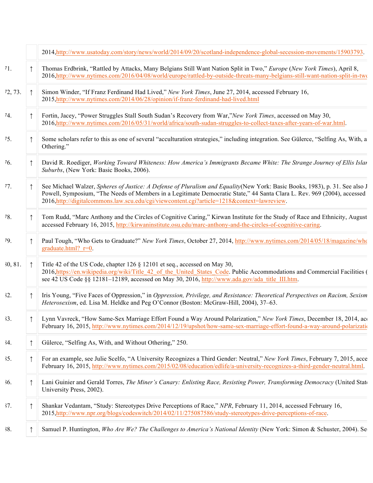|           |            | 2014.http://www.usatoday.com/story/news/world/2014/09/20/scotland-independence-global-secession-movements/15903793.                                                                                                                                                                                                                                    |
|-----------|------------|--------------------------------------------------------------------------------------------------------------------------------------------------------------------------------------------------------------------------------------------------------------------------------------------------------------------------------------------------------|
| 11.       |            | Thomas Erdbrink, "Rattled by Attacks, Many Belgians Still Want Nation Split in Two," Europe (New York Times), April 8,<br>2016, http://www.nytimes.com/2016/04/08/world/europe/rattled-by-outside-threats-many-belgians-still-want-nation-split-in-two                                                                                                 |
| 12, 73.   | $\uparrow$ | Simon Winder, "If Franz Ferdinand Had Lived," New York Times, June 27, 2014, accessed February 16,<br>2015, http://www.nytimes.com/2014/06/28/opinion/if-franz-ferdinand-had-lived.html                                                                                                                                                                |
| $^{14}$ . |            | Fortin, Jacey, "Power Struggles Stall South Sudan's Recovery from War,"New York Times, accessed on May 30,<br>2016,http://www.nytimes.com/2016/05/31/world/africa/south-sudan-struggles-to-collect-taxes-after-years-of-war.html.                                                                                                                      |
| 15.       |            | Some scholars refer to this as one of several "acculturation strategies," including integration. See Gülerce, "Selfing As, With, a<br>Othering."                                                                                                                                                                                                       |
| 16.       |            | David R. Roediger, Working Toward Whiteness: How America's Immigrants Became White: The Strange Journey of Ellis Islan<br>Suburbs, (New York: Basic Books, 2006).                                                                                                                                                                                      |
| 17.       |            | See Michael Walzer, Spheres of Justice: A Defense of Pluralism and Equality (New York: Basic Books, 1983), p. 31. See also J<br>Powell, Symposium, "The Needs of Members in a Legitimate Democratic State," 44 Santa Clara L. Rev. 969 (2004), accessed<br>2016, http://digitalcommons.law.scu.edu/cgi/viewcontent.cgi?article=1218&context=lawreview. |
| 78.       |            | Tom Rudd, "Marc Anthony and the Circles of Cognitive Caring," Kirwan Institute for the Study of Race and Ethnicity, August<br>accessed February 16, 2015, http://kirwaninstitute.osu.edu/marc-anthony-and-the-circles-of-cognitive-caring.                                                                                                             |
| 79.       |            | Paul Tough, "Who Gets to Graduate?" New York Times, October 27, 2014, http://www.nytimes.com/2014/05/18/magazine/who<br>graduate.html? $r=0$ .                                                                                                                                                                                                         |
| 30, 81.   |            | Title 42 of the US Code, chapter 126 § 12101 et seq., accessed on May 30,<br>2016, https://en.wikipedia.org/wiki/Title 42 of the United States Code. Public Accommodations and Commercial Facilities (<br>see 42 US Code §§ 12181-12189, accessed on May 30, 2016, http://www.ada.gov/ada title III.htm.                                               |
| 32.       |            | Iris Young, "Five Faces of Oppression," in Oppression, Privilege, and Resistance: Theoretical Perspectives on Racism, Sexism<br>Heterosexism, ed. Lisa M. Heldke and Peg O'Connor (Boston: McGraw-Hill, 2004), 37–63.                                                                                                                                  |
| 33.       |            | Lynn Vavreck, "How Same-Sex Marriage Effort Found a Way Around Polarization," New York Times, December 18, 2014, aco<br>February 16, 2015, http://www.nytimes.com/2014/12/19/upshot/how-same-sex-marriage-effort-found-a-way-around-polarization                                                                                                       |
| 34.       |            | Gülerce, "Selfing As, With, and Without Othering," 250.                                                                                                                                                                                                                                                                                                |
| 35.       |            | For an example, see Julie Scelfo, "A University Recognizes a Third Gender: Neutral," New York Times, February 7, 2015, acce<br>February 16, 2015, http://www.nytimes.com/2015/02/08/education/edlife/a-university-recognizes-a-third-gender-neutral.html.                                                                                              |
| 36.       | ↑          | Lani Guinier and Gerald Torres, The Miner's Canary: Enlisting Race, Resisting Power, Transforming Democracy (United State<br>University Press, 2002).                                                                                                                                                                                                  |
| 37.       |            | Shankar Vedantam, "Study: Stereotypes Drive Perceptions of Race," NPR, February 11, 2014, accessed February 16,<br>2015, http://www.npr.org/blogs/codeswitch/2014/02/11/275087586/study-stereotypes-drive-perceptions-of-race.                                                                                                                         |
| 38.       |            | Samuel P. Huntington, Who Are We? The Challenges to America's National Identity (New York: Simon & Schuster, 2004). Se                                                                                                                                                                                                                                 |
|           |            |                                                                                                                                                                                                                                                                                                                                                        |